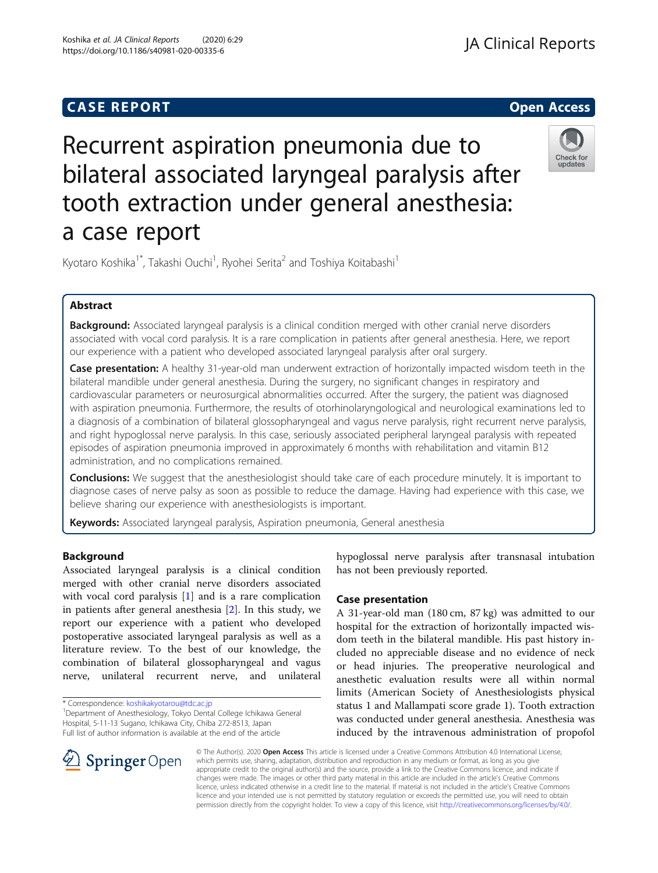# **CASE REPORT CASE REPORT CASE REPORT**



Recurrent aspiration pneumonia due to bilateral associated laryngeal paralysis after tooth extraction under general anesthesia: a case report

Kyotaro Koshika<sup>1\*</sup>, Takashi Ouchi<sup>1</sup>, Ryohei Serita<sup>2</sup> and Toshiya Koitabashi<sup>1</sup>

## Abstract

Background: Associated laryngeal paralysis is a clinical condition merged with other cranial nerve disorders associated with vocal cord paralysis. It is a rare complication in patients after general anesthesia. Here, we report our experience with a patient who developed associated laryngeal paralysis after oral surgery.

Case presentation: A healthy 31-year-old man underwent extraction of horizontally impacted wisdom teeth in the bilateral mandible under general anesthesia. During the surgery, no significant changes in respiratory and cardiovascular parameters or neurosurgical abnormalities occurred. After the surgery, the patient was diagnosed with aspiration pneumonia. Furthermore, the results of otorhinolaryngological and neurological examinations led to a diagnosis of a combination of bilateral glossopharyngeal and vagus nerve paralysis, right recurrent nerve paralysis, and right hypoglossal nerve paralysis. In this case, seriously associated peripheral laryngeal paralysis with repeated episodes of aspiration pneumonia improved in approximately 6 months with rehabilitation and vitamin B12 administration, and no complications remained.

**Conclusions:** We suggest that the anesthesiologist should take care of each procedure minutely. It is important to diagnose cases of nerve palsy as soon as possible to reduce the damage. Having had experience with this case, we believe sharing our experience with anesthesiologists is important.

Keywords: Associated laryngeal paralysis, Aspiration pneumonia, General anesthesia

### Background

Associated laryngeal paralysis is a clinical condition merged with other cranial nerve disorders associated with vocal cord paralysis [[1\]](#page-2-0) and is a rare complication in patients after general anesthesia [\[2](#page-2-0)]. In this study, we report our experience with a patient who developed postoperative associated laryngeal paralysis as well as a literature review. To the best of our knowledge, the combination of bilateral glossopharyngeal and vagus nerve, unilateral recurrent nerve, and unilateral

\* Correspondence: [koshikakyotarou@tdc.ac.jp](mailto:koshikakyotarou@tdc.ac.jp) <sup>1</sup>

 $\perp$  Springer Open



### Case presentation

A 31-year-old man (180 cm, 87 kg) was admitted to our hospital for the extraction of horizontally impacted wisdom teeth in the bilateral mandible. His past history included no appreciable disease and no evidence of neck or head injuries. The preoperative neurological and anesthetic evaluation results were all within normal limits (American Society of Anesthesiologists physical status 1 and Mallampati score grade 1). Tooth extraction was conducted under general anesthesia. Anesthesia was induced by the intravenous administration of propofol

© The Author(s). 2020 Open Access This article is licensed under a Creative Commons Attribution 4.0 International License, which permits use, sharing, adaptation, distribution and reproduction in any medium or format, as long as you give appropriate credit to the original author(s) and the source, provide a link to the Creative Commons licence, and indicate if changes were made. The images or other third party material in this article are included in the article's Creative Commons licence, unless indicated otherwise in a credit line to the material. If material is not included in the article's Creative Commons licence and your intended use is not permitted by statutory regulation or exceeds the permitted use, you will need to obtain permission directly from the copyright holder. To view a copy of this licence, visit <http://creativecommons.org/licenses/by/4.0/>.

Department of Anesthesiology, Tokyo Dental College Ichikawa General Hospital, 5-11-13 Sugano, Ichikawa City, Chiba 272-8513, Japan Full list of author information is available at the end of the article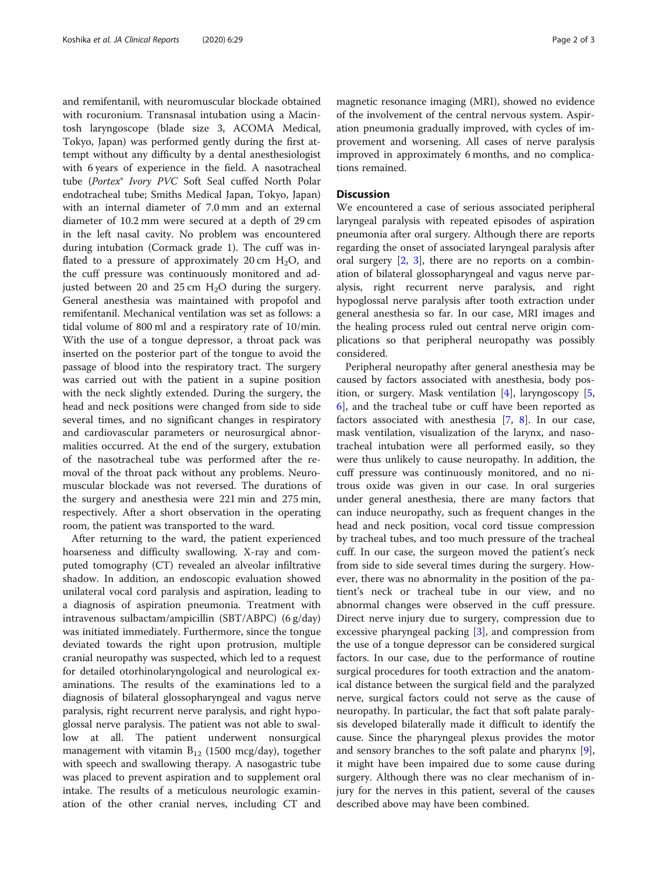and remifentanil, with neuromuscular blockade obtained with rocuronium. Transnasal intubation using a Macintosh laryngoscope (blade size 3, ACOMA Medical, Tokyo, Japan) was performed gently during the first attempt without any difficulty by a dental anesthesiologist with 6 years of experience in the field. A nasotracheal tube (Portex® Ivory PVC Soft Seal cuffed North Polar endotracheal tube; Smiths Medical Japan, Tokyo, Japan) with an internal diameter of 7.0 mm and an external diameter of 10.2 mm were secured at a depth of 29 cm in the left nasal cavity. No problem was encountered during intubation (Cormack grade 1). The cuff was inflated to a pressure of approximately 20 cm  $H_2O$ , and the cuff pressure was continuously monitored and adjusted between 20 and 25 cm  $H_2O$  during the surgery. General anesthesia was maintained with propofol and remifentanil. Mechanical ventilation was set as follows: a tidal volume of 800 ml and a respiratory rate of 10/min. With the use of a tongue depressor, a throat pack was inserted on the posterior part of the tongue to avoid the passage of blood into the respiratory tract. The surgery was carried out with the patient in a supine position with the neck slightly extended. During the surgery, the head and neck positions were changed from side to side several times, and no significant changes in respiratory and cardiovascular parameters or neurosurgical abnormalities occurred. At the end of the surgery, extubation of the nasotracheal tube was performed after the removal of the throat pack without any problems. Neuromuscular blockade was not reversed. The durations of the surgery and anesthesia were 221 min and 275 min, respectively. After a short observation in the operating room, the patient was transported to the ward.

After returning to the ward, the patient experienced hoarseness and difficulty swallowing. X-ray and computed tomography (CT) revealed an alveolar infiltrative shadow. In addition, an endoscopic evaluation showed unilateral vocal cord paralysis and aspiration, leading to a diagnosis of aspiration pneumonia. Treatment with intravenous sulbactam/ampicillin (SBT/ABPC) (6 g/day) was initiated immediately. Furthermore, since the tongue deviated towards the right upon protrusion, multiple cranial neuropathy was suspected, which led to a request for detailed otorhinolaryngological and neurological examinations. The results of the examinations led to a diagnosis of bilateral glossopharyngeal and vagus nerve paralysis, right recurrent nerve paralysis, and right hypoglossal nerve paralysis. The patient was not able to swallow at all. The patient underwent nonsurgical management with vitamin  $B_{12}$  (1500 mcg/day), together with speech and swallowing therapy. A nasogastric tube was placed to prevent aspiration and to supplement oral intake. The results of a meticulous neurologic examination of the other cranial nerves, including CT and magnetic resonance imaging (MRI), showed no evidence of the involvement of the central nervous system. Aspiration pneumonia gradually improved, with cycles of improvement and worsening. All cases of nerve paralysis improved in approximately 6 months, and no complications remained.

### **Discussion**

We encountered a case of serious associated peripheral laryngeal paralysis with repeated episodes of aspiration pneumonia after oral surgery. Although there are reports regarding the onset of associated laryngeal paralysis after oral surgery  $[2, 3]$  $[2, 3]$  $[2, 3]$  $[2, 3]$  $[2, 3]$ , there are no reports on a combination of bilateral glossopharyngeal and vagus nerve paralysis, right recurrent nerve paralysis, and right hypoglossal nerve paralysis after tooth extraction under general anesthesia so far. In our case, MRI images and the healing process ruled out central nerve origin complications so that peripheral neuropathy was possibly considered.

Peripheral neuropathy after general anesthesia may be caused by factors associated with anesthesia, body position, or surgery. Mask ventilation [\[4](#page-2-0)], laryngoscopy [\[5](#page-2-0), [6\]](#page-2-0), and the tracheal tube or cuff have been reported as factors associated with anesthesia [[7,](#page-2-0) [8](#page-2-0)]. In our case, mask ventilation, visualization of the larynx, and nasotracheal intubation were all performed easily, so they were thus unlikely to cause neuropathy. In addition, the cuff pressure was continuously monitored, and no nitrous oxide was given in our case. In oral surgeries under general anesthesia, there are many factors that can induce neuropathy, such as frequent changes in the head and neck position, vocal cord tissue compression by tracheal tubes, and too much pressure of the tracheal cuff. In our case, the surgeon moved the patient's neck from side to side several times during the surgery. However, there was no abnormality in the position of the patient's neck or tracheal tube in our view, and no abnormal changes were observed in the cuff pressure. Direct nerve injury due to surgery, compression due to excessive pharyngeal packing [\[3](#page-2-0)], and compression from the use of a tongue depressor can be considered surgical factors. In our case, due to the performance of routine surgical procedures for tooth extraction and the anatomical distance between the surgical field and the paralyzed nerve, surgical factors could not serve as the cause of neuropathy. In particular, the fact that soft palate paralysis developed bilaterally made it difficult to identify the cause. Since the pharyngeal plexus provides the motor and sensory branches to the soft palate and pharynx [\[9](#page-2-0)], it might have been impaired due to some cause during surgery. Although there was no clear mechanism of injury for the nerves in this patient, several of the causes described above may have been combined.